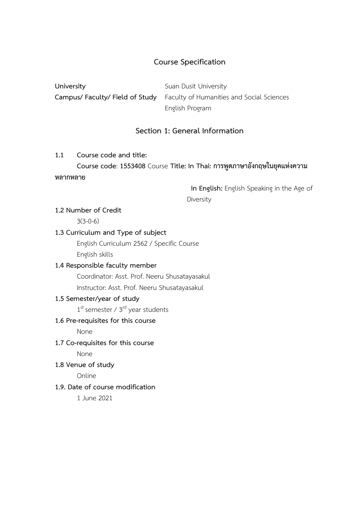## **Course Specification**

**University** Suan Dusit University **Campus/ Faculty/ Field of Study** Faculty of Humanities and Social Sciences English Program

# **Section 1: General Information**

#### **1.1 Course code and title:**

**Course code**: **1553408** Course **Title: In Thai: การพูดภาษาอังกฤษในยุคแห่งความ หลากหลาย**

> **In English:** English Speaking in the Age of Diversity

#### **1.2 Number of Credit**

3(3-0-6)

#### **1.3 Curriculum and Type of subject**

English Curriculum 2562 / Specific Course English skills

## **1.4 Responsible faculty member**

Coordinator: Asst. Prof. Neeru Shusatayasakul

Instructor: Asst. Prof. Neeru Shusatayasakul

## **1.5 Semester/year of study**

1<sup>st</sup> semester / 3<sup>rd</sup> year students

# **1.6 Pre-requisites for this course**

None

**1.7 Co-requisites for this course**

None

**1.8 Venue of study**

Online

## **1.9. Date of course modification**

1 June 2021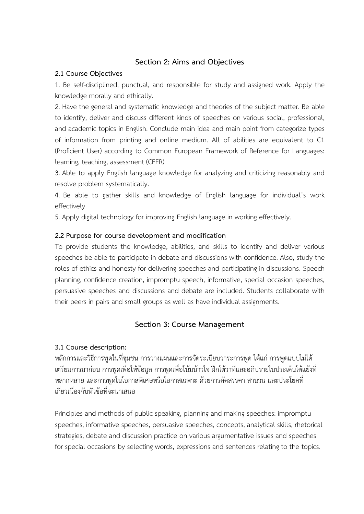## **Section 2: Aims and Objectives**

#### **2.1 Course Objectives**

1. Be self-disciplined, punctual, and responsible for study and assigned work. Apply the knowledge morally and ethically.

2. Have the general and systematic knowledge and theories of the subject matter. Be able to identify, deliver and discuss different kinds of speeches on various social, professional, and academic topics in English. Conclude main idea and main point from categorize types of information from printing and online medium. All of abilities are equivalent to C1 (Proficient User) according to Common European Framework of Reference for Languages: learning, teaching, assessment (CEFR)

3. Able to apply English language knowledge for analyzing and criticizing reasonably and resolve problem systematically.

4. Be able to gather skills and knowledge of English language for individual's work effectively

5. Apply digital technology for improving English language in working effectively.

## **2.2 Purpose for course development and modification**

To provide students the knowledge, abilities, and skills to identify and deliver various speeches be able to participate in debate and discussions with confidence. Also, study the roles of ethics and honesty for delivering speeches and participating in discussions. Speech planning, confidence creation, impromptu speech, informative, special occasion speeches, persuasive speeches and discussions and debate are included. Students collaborate with their peers in pairs and small groups as well as have individual assignments.

# **Section 3: Course Management**

# **3.1 Course description:**

หลักการและวิธีการพูดในที่ชุมชน การวางแผนและการจัดระเบียบวาระการพูด ได้แก่การพูดแบบไม่ได้ เตรียมการมาก่อน การพูดเพื่อให้ข้อมูล การพูดเพื่อโน้มน้าวใจ ฝึกโต้วาทีและอภิปรายในประเด็นโต้แย้งที่ หลากหลาย และการพูดในโอกาสพิเศษหรือโอกาสเฉพาะ ด้วยการคัดสรรคา สานวน และประโยคที่ เกี่ยวเนื่องกับหัวข้อที่จะนาเสนอ

Principles and methods of public speaking, planning and making speeches: impromptu speeches, informative speeches, persuasive speeches, concepts, analytical skills, rhetorical strategies, debate and discussion practice on various argumentative issues and speeches for special occasions by selecting words, expressions and sentences relating to the topics.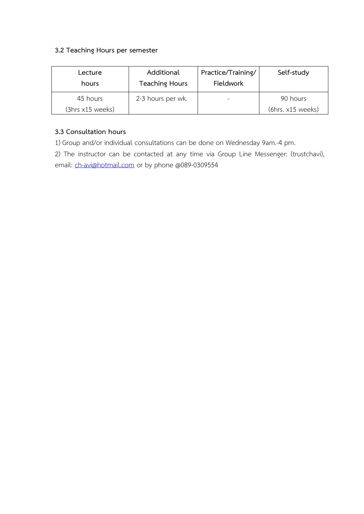## **3.2 Teaching Hours per semester**

| Lecture<br>hours | Additional<br><b>Teaching Hours</b> | Practice/Training/<br><b>Fieldwork</b> | Self-study        |
|------------------|-------------------------------------|----------------------------------------|-------------------|
| 45 hours         | 2-3 hours per wk.                   |                                        | 90 hours          |
| (3hrs x15 weeks) |                                     |                                        | (6hrs. x15 weeks) |

## **3.3 Consultation hours**

1) Group and/or individual consultations can be done on Wednesday 9am.-4 pm.

2) The instructor can be contacted at any time via Group Line Messenger: (trustchavi), email: [ch-avi@hotmail.com](mailto:ch-avi@hotmail.com) or by phone @089-0309554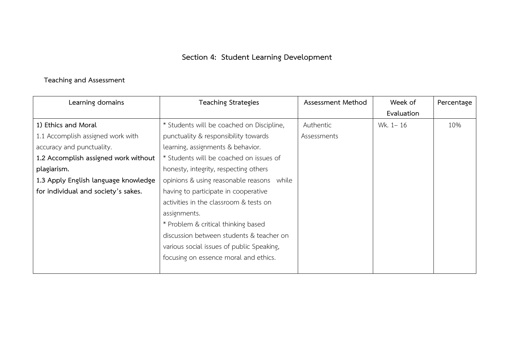# **Section 4: Student Learning Development**

# **Teaching and Assessment**

| Learning domains                     | <b>Teaching Strategies</b>                | Assessment Method | Week of    | Percentage |
|--------------------------------------|-------------------------------------------|-------------------|------------|------------|
|                                      |                                           |                   | Evaluation |            |
| 1) Ethics and Moral                  | * Students will be coached on Discipline, | Authentic         | Wk. 1-16   | 10%        |
| 1.1 Accomplish assigned work with    | punctuality & responsibility towards      | Assessments       |            |            |
| accuracy and punctuality.            | learning, assignments & behavior.         |                   |            |            |
| 1.2 Accomplish assigned work without | * Students will be coached on issues of   |                   |            |            |
| plagiarism.                          | honesty, integrity, respecting others     |                   |            |            |
| 1.3 Apply English language knowledge | opinions & using reasonable reasons while |                   |            |            |
| for individual and society's sakes.  | having to participate in cooperative      |                   |            |            |
|                                      | activities in the classroom & tests on    |                   |            |            |
|                                      | assignments.                              |                   |            |            |
|                                      | * Problem & critical thinking based       |                   |            |            |
|                                      | discussion between students & teacher on  |                   |            |            |
|                                      | various social issues of public Speaking, |                   |            |            |
|                                      | focusing on essence moral and ethics.     |                   |            |            |
|                                      |                                           |                   |            |            |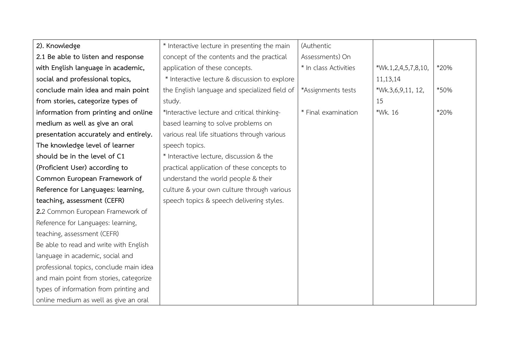| 2). Knowledge                           | * Interactive lecture in presenting the main  | (Authentic            |                     |      |
|-----------------------------------------|-----------------------------------------------|-----------------------|---------------------|------|
| 2.1 Be able to listen and response      | concept of the contents and the practical     | Assessments) On       |                     |      |
| with English language in academic,      | application of these concepts.                | * In class Activities | *Wk.1,2,4,5,7,8,10, | *20% |
| social and professional topics,         | * Interactive lecture & discussion to explore |                       | 11,13,14            |      |
| conclude main idea and main point       | the English language and specialized field of | *Assignments tests    | *Wk.3,6,9,11, 12,   | *50% |
| from stories, categorize types of       | study.                                        |                       | 15                  |      |
| information from printing and online    | *Interactive lecture and critical thinking-   | * Final examination   | *Wk. 16             | *20% |
| medium as well as give an oral          | based learning to solve problems on           |                       |                     |      |
| presentation accurately and entirely.   | various real life situations through various  |                       |                     |      |
| The knowledge level of learner          | speech topics.                                |                       |                     |      |
| should be in the level of C1            | * Interactive lecture, discussion & the       |                       |                     |      |
| (Proficient User) according to          | practical application of these concepts to    |                       |                     |      |
| Common European Framework of            | understand the world people & their           |                       |                     |      |
| Reference for Languages: learning,      | culture & your own culture through various    |                       |                     |      |
| teaching, assessment (CEFR)             | speech topics & speech delivering styles.     |                       |                     |      |
| 2.2 Common European Framework of        |                                               |                       |                     |      |
| Reference for Languages: learning,      |                                               |                       |                     |      |
| teaching, assessment (CEFR)             |                                               |                       |                     |      |
| Be able to read and write with English  |                                               |                       |                     |      |
| language in academic, social and        |                                               |                       |                     |      |
| professional topics, conclude main idea |                                               |                       |                     |      |
| and main point from stories, categorize |                                               |                       |                     |      |
| types of information from printing and  |                                               |                       |                     |      |
| online medium as well as give an oral   |                                               |                       |                     |      |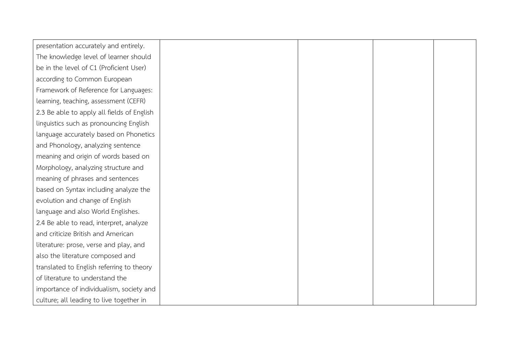| presentation accurately and entirely.      |  |  |
|--------------------------------------------|--|--|
| The knowledge level of learner should      |  |  |
| be in the level of C1 (Proficient User)    |  |  |
| according to Common European               |  |  |
|                                            |  |  |
| Framework of Reference for Languages:      |  |  |
| learning, teaching, assessment (CEFR)      |  |  |
| 2.3 Be able to apply all fields of English |  |  |
| linguistics such as pronouncing English    |  |  |
| language accurately based on Phonetics     |  |  |
| and Phonology, analyzing sentence          |  |  |
| meaning and origin of words based on       |  |  |
| Morphology, analyzing structure and        |  |  |
| meaning of phrases and sentences           |  |  |
| based on Syntax including analyze the      |  |  |
| evolution and change of English            |  |  |
| language and also World Englishes.         |  |  |
| 2.4 Be able to read, interpret, analyze    |  |  |
| and criticize British and American         |  |  |
| literature: prose, verse and play, and     |  |  |
| also the literature composed and           |  |  |
| translated to English referring to theory  |  |  |
| of literature to understand the            |  |  |
| importance of individualism, society and   |  |  |
| culture; all leading to live together in   |  |  |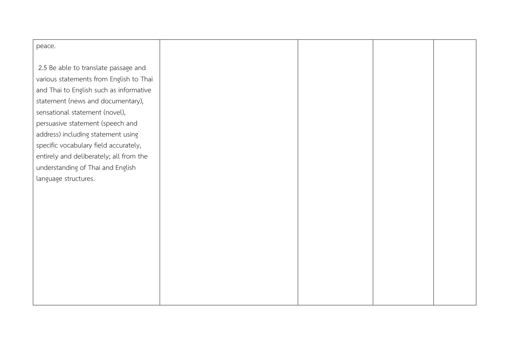| peace.                                  |  |  |
|-----------------------------------------|--|--|
| 2.5 Be able to translate passage and    |  |  |
| various statements from English to Thai |  |  |
| and Thai to English such as informative |  |  |
| statement (news and documentary),       |  |  |
| sensational statement (novel),          |  |  |
| persuasive statement (speech and        |  |  |
| address) including statement using      |  |  |
| specific vocabulary field accurately,   |  |  |
| entirely and deliberately; all from the |  |  |
| understanding of Thai and English       |  |  |
| language structures.                    |  |  |
|                                         |  |  |
|                                         |  |  |
|                                         |  |  |
|                                         |  |  |
|                                         |  |  |
|                                         |  |  |
|                                         |  |  |
|                                         |  |  |
|                                         |  |  |
|                                         |  |  |
|                                         |  |  |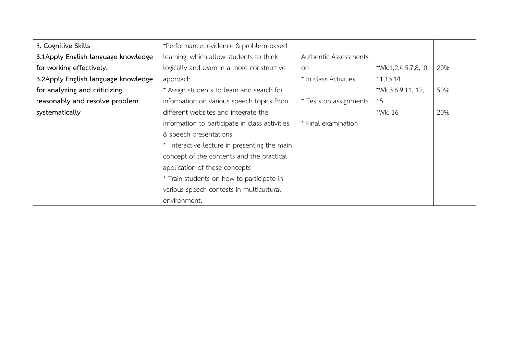| 3. Cognitive Skills                  | *Performance, evidence & problem-based         |                        |                     |     |
|--------------------------------------|------------------------------------------------|------------------------|---------------------|-----|
| 3.1 Apply English language knowledge | learning, which allow students to think        | Authentic Assessments  |                     |     |
| for working effectively.             | logically and learn in a more constructive     | on                     | *Wk.1,2,4,5,7,8,10, | 20% |
| 3.2Apply English language knowledge  | approach.                                      | * In class Activities  | 11,13,14            |     |
| for analyzing and criticizing        | * Assign students to learn and search for      |                        | *Wk.3,6,9,11, 12,   | 50% |
| reasonably and resolve problem       | information on various speech topics from      | * Tests on assignments | 15                  |     |
| systematically                       | different websites and integrate the           |                        | *Wk. 16             | 20% |
|                                      | information to participate in class activities | * Final examination    |                     |     |
|                                      | & speech presentations.                        |                        |                     |     |
|                                      | * Interactive lecture in presenting the main   |                        |                     |     |
|                                      | concept of the contents and the practical      |                        |                     |     |
|                                      | application of these concepts                  |                        |                     |     |
|                                      | * Train students on how to participate in      |                        |                     |     |
|                                      | various speech contests in multicultural       |                        |                     |     |
|                                      | environment.                                   |                        |                     |     |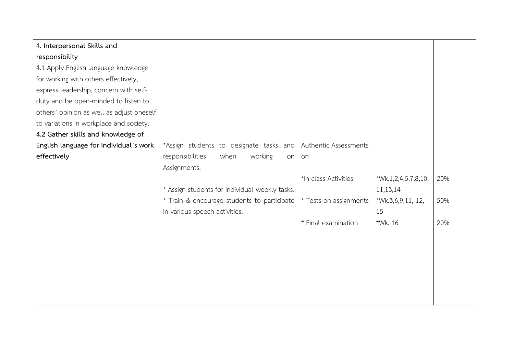| 4. Interpersonal Skills and               |                                                |                        |                     |     |
|-------------------------------------------|------------------------------------------------|------------------------|---------------------|-----|
| responsibility                            |                                                |                        |                     |     |
| 4.1 Apply English language knowledge      |                                                |                        |                     |     |
| for working with others effectively,      |                                                |                        |                     |     |
| express leadership, concern with self-    |                                                |                        |                     |     |
| duty and be open-minded to listen to      |                                                |                        |                     |     |
| others' opinion as well as adjust oneself |                                                |                        |                     |     |
| to variations in workplace and society.   |                                                |                        |                     |     |
| 4.2 Gather skills and knowledge of        |                                                |                        |                     |     |
| English language for individual's work    | *Assign students to designate tasks and        | Authentic Assessments  |                     |     |
| effectively                               | working<br>responsibilities<br>when<br>on      | <b>on</b>              |                     |     |
|                                           | Assignments.                                   |                        |                     |     |
|                                           |                                                | *In class Activities   | *Wk.1,2,4,5,7,8,10, | 20% |
|                                           | * Assign students for individual weekly tasks. |                        | 11,13,14            |     |
|                                           | * Train & encourage students to participate    | * Tests on assignments | *Wk.3,6,9,11, 12,   | 50% |
|                                           | in various speech activities.                  |                        | 15                  |     |
|                                           |                                                | * Final examination    | *Wk. 16             | 20% |
|                                           |                                                |                        |                     |     |
|                                           |                                                |                        |                     |     |
|                                           |                                                |                        |                     |     |
|                                           |                                                |                        |                     |     |
|                                           |                                                |                        |                     |     |
|                                           |                                                |                        |                     |     |
|                                           |                                                |                        |                     |     |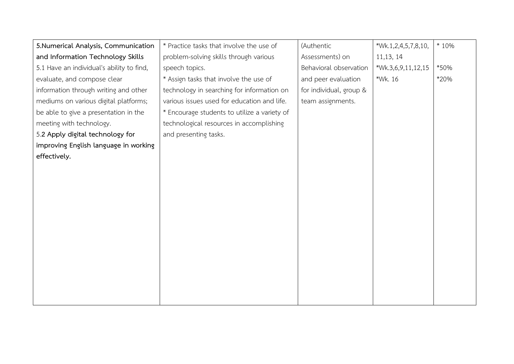| 5.Numerical Analysis, Communication       | * Practice tasks that involve the use of     | (Authentic              | *Wk.1,2,4,5,7,8,10, | * 10% |
|-------------------------------------------|----------------------------------------------|-------------------------|---------------------|-------|
| and Information Technology Skills         | problem-solving skills through various       | Assessments) on         | 11,13, 14           |       |
| 5.1 Have an individual's ability to find, | speech topics.                               | Behavioral observation  | *Wk.3,6,9,11,12,15  | *50%  |
| evaluate, and compose clear               | * Assign tasks that involve the use of       | and peer evaluation     | *Wk. 16             | *20%  |
| information through writing and other     | technology in searching for information on   | for individual, group & |                     |       |
| mediums on various digital platforms;     | various issues used for education and life.  | team assignments.       |                     |       |
| be able to give a presentation in the     | * Encourage students to utilize a variety of |                         |                     |       |
| meeting with technology.                  | technological resources in accomplishing     |                         |                     |       |
| 5.2 Apply digital technology for          | and presenting tasks.                        |                         |                     |       |
| improving English language in working     |                                              |                         |                     |       |
| effectively.                              |                                              |                         |                     |       |
|                                           |                                              |                         |                     |       |
|                                           |                                              |                         |                     |       |
|                                           |                                              |                         |                     |       |
|                                           |                                              |                         |                     |       |
|                                           |                                              |                         |                     |       |
|                                           |                                              |                         |                     |       |
|                                           |                                              |                         |                     |       |
|                                           |                                              |                         |                     |       |
|                                           |                                              |                         |                     |       |
|                                           |                                              |                         |                     |       |
|                                           |                                              |                         |                     |       |
|                                           |                                              |                         |                     |       |
|                                           |                                              |                         |                     |       |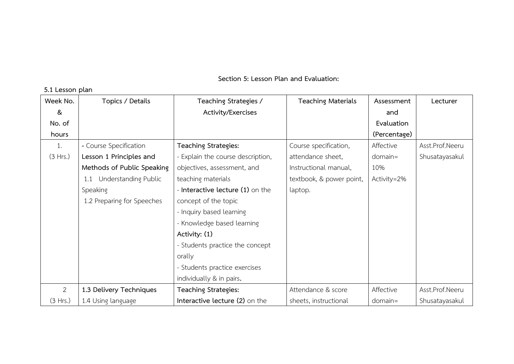**Section 5: Lesson Plan and Evaluation:**

| Week No.       | Topics / Details           | Teaching Strategies /             | <b>Teaching Materials</b> | Assessment   | Lecturer        |
|----------------|----------------------------|-----------------------------------|---------------------------|--------------|-----------------|
| &              |                            | Activity/Exercises                |                           | and          |                 |
| No. of         |                            |                                   |                           | Evaluation   |                 |
| hours          |                            |                                   |                           | (Percentage) |                 |
| 1.             | - Course Specification     | Teaching Strategies:              | Course specification,     | Affective    | Asst.Prof.Neeru |
| (3 Hrs.)       | Lesson 1 Principles and    | - Explain the course description, | attendance sheet,         | $domain =$   | Shusatayasakul  |
|                | Methods of Public Speaking | objectives, assessment, and       | Instructional manual,     | 10%          |                 |
|                | 1.1 Understanding Public   | teaching materials                | textbook, & power point,  | Activity=2%  |                 |
|                | Speaking                   | - Interactive lecture (1) on the  | laptop.                   |              |                 |
|                | 1.2 Preparing for Speeches | concept of the topic              |                           |              |                 |
|                |                            | - Inquiry based learning          |                           |              |                 |
|                |                            | - Knowledge based learning        |                           |              |                 |
|                |                            | Activity: (1)                     |                           |              |                 |
|                |                            | - Students practice the concept   |                           |              |                 |
|                |                            | orally                            |                           |              |                 |
|                |                            | - Students practice exercises     |                           |              |                 |
|                |                            | individually & in pairs.          |                           |              |                 |
| $\overline{2}$ | 1.3 Delivery Techniques    | Teaching Strategies:              | Attendance & score        | Affective    | Asst.Prof.Neeru |
| (3 Hrs.)       | 1.4 Using language         | Interactive lecture (2) on the    | sheets, instructional     | $domain =$   | Shusatayasakul  |

**5.1 Lesson plan**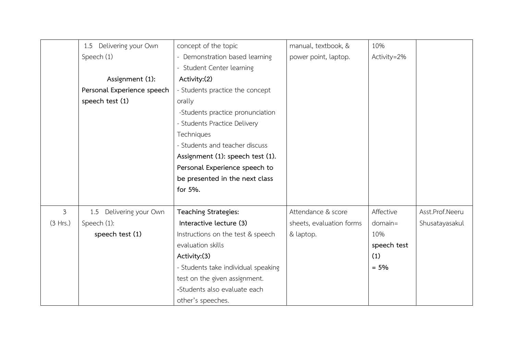|          | Delivering your Own<br>1.5 | concept of the topic                | manual, textbook, &      | 10%         |                 |
|----------|----------------------------|-------------------------------------|--------------------------|-------------|-----------------|
|          | Speech (1)                 | - Demonstration based learning      | power point, laptop.     | Activity=2% |                 |
|          |                            | - Student Center learning           |                          |             |                 |
|          | Assignment (1):            | Activity:(2)                        |                          |             |                 |
|          | Personal Experience speech | - Students practice the concept     |                          |             |                 |
|          | speech test (1)            | orally                              |                          |             |                 |
|          |                            | -Students practice pronunciation    |                          |             |                 |
|          |                            | - Students Practice Delivery        |                          |             |                 |
|          |                            | Techniques                          |                          |             |                 |
|          |                            | - Students and teacher discuss      |                          |             |                 |
|          |                            | Assignment (1): speech test (1).    |                          |             |                 |
|          |                            | Personal Experience speech to       |                          |             |                 |
|          |                            | be presented in the next class      |                          |             |                 |
|          |                            | for 5%.                             |                          |             |                 |
|          |                            |                                     |                          |             |                 |
| 3        | Delivering your Own<br>1.5 | Teaching Strategies:                | Attendance & score       | Affective   | Asst.Prof.Neeru |
| (3 Hrs.) | Speech (1):                | Interactive lecture (3)             | sheets, evaluation forms | $domain =$  | Shusatayasakul  |
|          | speech test (1)            | Instructions on the test & speech   | & laptop.                | 10%         |                 |
|          |                            | evaluation skills                   |                          | speech test |                 |
|          |                            | Activity:(3)                        |                          | (1)         |                 |
|          |                            | - Students take individual speaking |                          | $= 5%$      |                 |
|          |                            | test on the given assignment.       |                          |             |                 |
|          |                            | -Students also evaluate each        |                          |             |                 |
|          |                            | other's speeches.                   |                          |             |                 |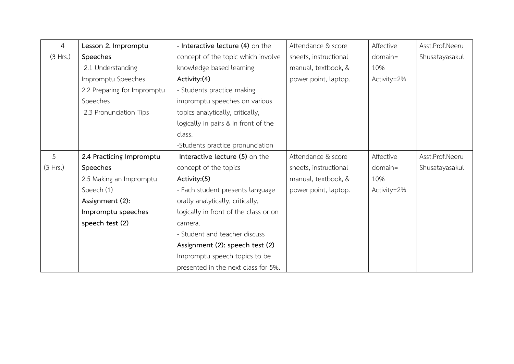| $\overline{4}$ | Lesson 2. Impromptu         | - Interactive lecture (4) on the      | Attendance & score    | Affective   | Asst.Prof.Neeru |
|----------------|-----------------------------|---------------------------------------|-----------------------|-------------|-----------------|
| (3 Hrs.)       | Speeches                    | concept of the topic which involve    | sheets, instructional | $domain =$  | Shusatayasakul  |
|                | 2.1 Understanding           | knowledge based learning              | manual, textbook, &   | 10%         |                 |
|                | Impromptu Speeches          | Activity:(4)                          | power point, laptop.  | Activity=2% |                 |
|                | 2.2 Preparing for Impromptu | - Students practice making            |                       |             |                 |
|                | Speeches                    | impromptu speeches on various         |                       |             |                 |
|                | 2.3 Pronunciation Tips      | topics analytically, critically,      |                       |             |                 |
|                |                             | logically in pairs & in front of the  |                       |             |                 |
|                |                             | class.                                |                       |             |                 |
|                |                             | -Students practice pronunciation      |                       |             |                 |
| 5              | 2.4 Practicing Impromptu    | Interactive lecture (5) on the        | Attendance & score    | Affective   | Asst.Prof.Neeru |
| (3 Hrs.)       | Speeches                    | concept of the topics                 | sheets, instructional | $domain =$  | Shusatayasakul  |
|                | 2.5 Making an Impromptu     | Activity:(5)                          | manual, textbook, &   | 10%         |                 |
|                | Speech (1)                  | - Each student presents language      | power point, laptop.  | Activity=2% |                 |
|                | Assignment (2):             | orally analytically, critically,      |                       |             |                 |
|                | Impromptu speeches          | logically in front of the class or on |                       |             |                 |
|                | speech test (2)             | camera.                               |                       |             |                 |
|                |                             | - Student and teacher discuss         |                       |             |                 |
|                |                             | Assignment (2): speech test (2)       |                       |             |                 |
|                |                             | Impromptu speech topics to be         |                       |             |                 |
|                |                             | presented in the next class for 5%.   |                       |             |                 |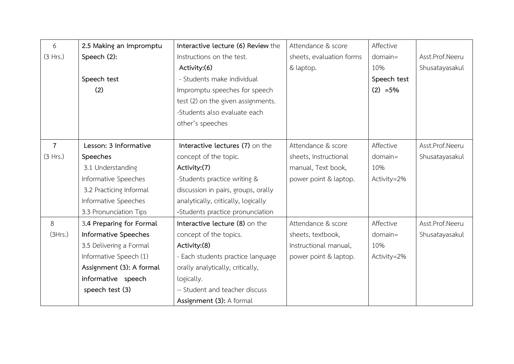| 6              | 2.5 Making an Impromptu  | Interactive lecture (6) Review the  | Attendance & score       | Affective   |                 |
|----------------|--------------------------|-------------------------------------|--------------------------|-------------|-----------------|
| (3 Hrs.)       | Speech (2):              | Instructions on the test.           | sheets, evaluation forms | $domain =$  | Asst.Prof.Neeru |
|                |                          | Activity:(6)                        | & laptop.                | 10%         | Shusatayasakul  |
|                | Speech test              | - Students make individual          |                          | Speech test |                 |
|                | (2)                      | Impromptu speeches for speech       |                          | $(2) = 5%$  |                 |
|                |                          | test (2) on the given assignments.  |                          |             |                 |
|                |                          | -Students also evaluate each        |                          |             |                 |
|                |                          | other's speeches                    |                          |             |                 |
|                |                          |                                     |                          |             |                 |
| $\overline{7}$ | Lesson: 3 Informative    | Interactive lectures (7) on the     | Attendance & score       | Affective   | Asst.Prof.Neeru |
| (3 Hrs.)       | Speeches                 | concept of the topic.               | sheets, Instructional    | $domain =$  | Shusatayasakul  |
|                | 3.1 Understanding        | Activity:(7)                        | manual, Text book,       | 10%         |                 |
|                | Informative Speeches     | -Students practice writing &        | power point & laptop.    | Activity=2% |                 |
|                | 3.2 Practicing Informal  | discussion in pairs, groups, orally |                          |             |                 |
|                | Informative Speeches     | analytically, critically, logically |                          |             |                 |
|                | 3.3 Pronunciation Tips   | -Students practice pronunciation    |                          |             |                 |
| 8              | 3.4 Preparing for Formal | Interactive lecture (8) on the      | Attendance & score       | Affective   | Asst.Prof.Neeru |
| (3Hrs.)        | Informative Speeches     | concept of the topics.              | sheets, textbook,        | $domain =$  | Shusatayasakul  |
|                | 3.5 Delivering a Formal  | Activity:(8)                        | Instructional manual,    | 10%         |                 |
|                | Informative Speech (1)   | - Each students practice language   | power point & laptop.    | Activity=2% |                 |
|                | Assignment (3): A formal | orally analytically, critically,    |                          |             |                 |
|                | informative speech       | logically.                          |                          |             |                 |
|                | speech test (3)          | -- Student and teacher discuss      |                          |             |                 |
|                |                          | Assignment (3): A formal            |                          |             |                 |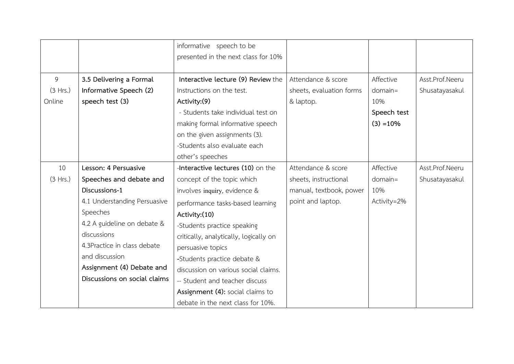|          |                              | informative speech to be               |                          |             |                 |
|----------|------------------------------|----------------------------------------|--------------------------|-------------|-----------------|
|          |                              | presented in the next class for 10%    |                          |             |                 |
|          |                              |                                        |                          |             |                 |
| 9        | 3.5 Delivering a Formal      | Interactive lecture (9) Review the     | Attendance & score       | Affective   | Asst.Prof.Neeru |
| (3 Hrs.) | Informative Speech (2)       | Instructions on the test.              | sheets, evaluation forms | $domain =$  | Shusatayasakul  |
| Online   | speech test (3)              | Activity:(9)                           | & laptop.                | 10%         |                 |
|          |                              | - Students take individual test on     |                          | Speech test |                 |
|          |                              | making formal informative speech       |                          | $(3) = 10%$ |                 |
|          |                              | on the given assignments (3).          |                          |             |                 |
|          |                              | -Students also evaluate each           |                          |             |                 |
|          |                              | other's speeches                       |                          |             |                 |
| 10       | Lesson: 4 Persuasive         | -Interactive lectures (10) on the      | Attendance & score       | Affective   | Asst.Prof.Neeru |
| (3 Hrs.) | Speeches and debate and      | concept of the topic which             | sheets, instructional    | $domain =$  | Shusatayasakul  |
|          | Discussions-1                | involves inquiry, evidence &           | manual, textbook, power  | 10%         |                 |
|          | 4.1 Understanding Persuasive | performance tasks-based learning       | point and laptop.        | Activity=2% |                 |
|          | Speeches                     | Activity:(10)                          |                          |             |                 |
|          | 4.2 A guideline on debate &  | -Students practice speaking            |                          |             |                 |
|          | discussions                  | critically, analytically, logically on |                          |             |                 |
|          | 4.3Practice in class debate  | persuasive topics                      |                          |             |                 |
|          | and discussion               | -Students practice debate &            |                          |             |                 |
|          | Assignment (4) Debate and    | discussion on various social claims.   |                          |             |                 |
|          | Discussions on social claims | -- Student and teacher discuss         |                          |             |                 |
|          |                              | Assignment (4): social claims to       |                          |             |                 |
|          |                              | debate in the next class for 10%.      |                          |             |                 |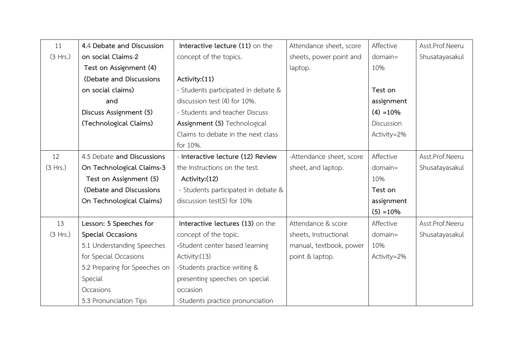| 11       | 4.4 Debate and Discussion     | Interactive lecture (11) on the     | Attendance sheet, score  | Affective   | Asst.Prof.Neeru |
|----------|-------------------------------|-------------------------------------|--------------------------|-------------|-----------------|
| (3 Hrs.) | on social Claims-2            | concept of the topics.              | sheets, power point and  | $domain =$  | Shusatayasakul  |
|          | Test on Assignment (4)        |                                     | laptop.                  | 10%         |                 |
|          | (Debate and Discussions       | Activity:(11)                       |                          |             |                 |
|          | on social claims)             | - Students participated in debate & |                          | Test on     |                 |
|          | and                           | discussion test (4) for 10%.        |                          | assignment  |                 |
|          | Discuss Assignment (5)        | - Students and teacher Discuss      |                          | $(4) = 10%$ |                 |
|          | (Technological Claims)        | Assignment (5) Technological        |                          | Discussion  |                 |
|          |                               | Claims to debate in the next class  |                          | Activity=2% |                 |
|          |                               | for 10%.                            |                          |             |                 |
| 12       | 4.5 Debate and Discussions    | - Interactive lecture (12) Review   | -Attendance sheet, score | Affective   | Asst.Prof.Neeru |
| (3 Hrs.) | On Technological Claims-3     | the Instructions on the test.       | sheet, and laptop.       | domain=     | Shusatayasakul  |
|          | Test on Assignment (5)        | Activity: (12)                      |                          | 10%         |                 |
|          | (Debate and Discussions       | - Students participated in debate & |                          | Test on     |                 |
|          | On Technological Claims)      | discussion test(5) for 10%          |                          | assignment  |                 |
|          |                               |                                     |                          | $(5) = 10%$ |                 |
| 13       | Lesson: 5 Speeches for        | Interactive lectures (13) on the    | Attendance & score       | Affective   | Asst.Prof.Neeru |
| (3 Hrs.) | Special Occasions             | concept of the topic.               | sheets, Instructional    | $domain =$  | Shusatayasakul  |
|          | 5.1 Understanding Speeches    | -Student center based learning      | manual, textbook, power  | 10%         |                 |
|          | for Special Occasions         | Activity: (13)                      | point & laptop.          | Activity=2% |                 |
|          | 5.2 Preparing for Speeches on | -Students practice writing &        |                          |             |                 |
|          | Special                       | presenting speeches on special      |                          |             |                 |
|          | Occasions                     | occasion                            |                          |             |                 |
|          | 5.3 Pronunciation Tips        | -Students practice pronunciation    |                          |             |                 |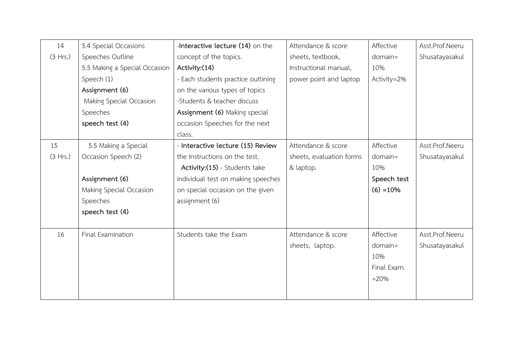| 14       | 5.4 Special Occasions         | -Interactive lecture (14) on the   | Attendance & score       | Affective   | Asst.Prof.Neeru |
|----------|-------------------------------|------------------------------------|--------------------------|-------------|-----------------|
| (3 Hrs.) | Speeches Outline              | concept of the topics.             | sheets, textbook,        | $domain =$  | Shusatayasakul  |
|          | 5.5 Making a Special Occasion | Activity: (14)                     | Instructional manual,    | 10%         |                 |
|          | Speech (1)                    | - Each students practice outlining | power point and laptop   | Activity=2% |                 |
|          | Assignment (6)                | on the various types of topics     |                          |             |                 |
|          | Making Special Occasion       | -Students & teacher discuss        |                          |             |                 |
|          | Speeches                      | Assignment (6) Making special      |                          |             |                 |
|          | speech test (4)               | occasion Speeches for the next     |                          |             |                 |
|          |                               | class.                             |                          |             |                 |
| 15       | 5.5 Making a Special          | - Interactive lecture (15) Review  | Attendance & score       | Affective   | Asst.Prof.Neeru |
| (3 Hrs.) | Occasion Speech (2)           | the Instructions on the test.      | sheets, evaluation forms | $domain =$  | Shusatayasakul  |
|          |                               | Activity:(15) - Students take      | & laptop.                | 10%         |                 |
|          | Assignment (6)                | individual test on making speeches |                          | Speech test |                 |
|          | Making Special Occasion       | on special occasion on the given   |                          | $(6) = 10%$ |                 |
|          | Speeches                      | assignment (6)                     |                          |             |                 |
|          | speech test (4)               |                                    |                          |             |                 |
|          |                               |                                    |                          |             |                 |
| 16       | Final Examination             | Students take the Exam             | Attendance & score       | Affective   | Asst.Prof.Neeru |
|          |                               |                                    | sheets, laptop.          | $domain =$  | Shusatayasakul  |
|          |                               |                                    |                          | 10%         |                 |
|          |                               |                                    |                          | Final Exam. |                 |
|          |                               |                                    |                          | $= 20%$     |                 |
|          |                               |                                    |                          |             |                 |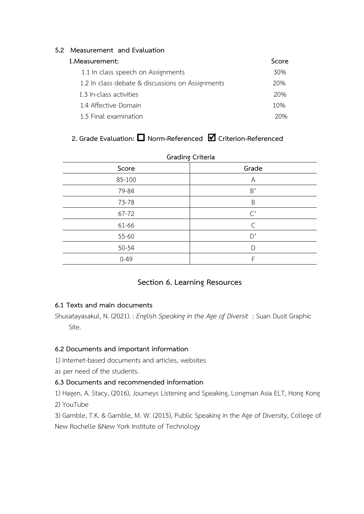## **5.2 Measurement and Evaluation**

## **1.Measurement: Score**

| 1.17233313113113                                 | ---- |
|--------------------------------------------------|------|
| 1.1 In class speech on Assignments               | 30%  |
| 1.2 In class debate & discussions on Assignments | 20%  |
| 1.3 In-class activities                          | 20%  |
| 1.4 Affective Domain                             | 10%  |
| 1.5 Final examination                            | 20%  |

# **2. Grade Evaluation: Norm-Referenced Criterion-Referenced**

| Score    | Grading Criteria<br>Grade |
|----------|---------------------------|
|          |                           |
| 85-100   | A                         |
| 79-84    | $B^+$                     |
| 73-78    | B                         |
| 67-72    | $\mathsf{C}^+$            |
| 61-66    | C                         |
| 55-60    | $D^+$                     |
| 50-54    | D                         |
| $0 - 49$ | F                         |

#### **Grading Criteria**

# **Section 6. Learning Resources**

## **6.1 Texts and main documents**

Shusatayasakul, N. (2021). : *English Speaking in the Age of Diversit* : Suan Dusit Graphic Site.

#### **6.2 Documents and important information**

1) Internet-based documents and articles, websites

as per need of the students.

## **6.3 Documents and recommended information**

1) Hagen, A. Stacy, (2016), Journeys Listening and Speaking, Longman Asia ELT, Hong Kong 2) YouTube

3) Gamble, T.K. & Gamble, M. W. (2015), Public Speaking in the Age of Diversity, College of New Rochelle &New York Institute of Technology